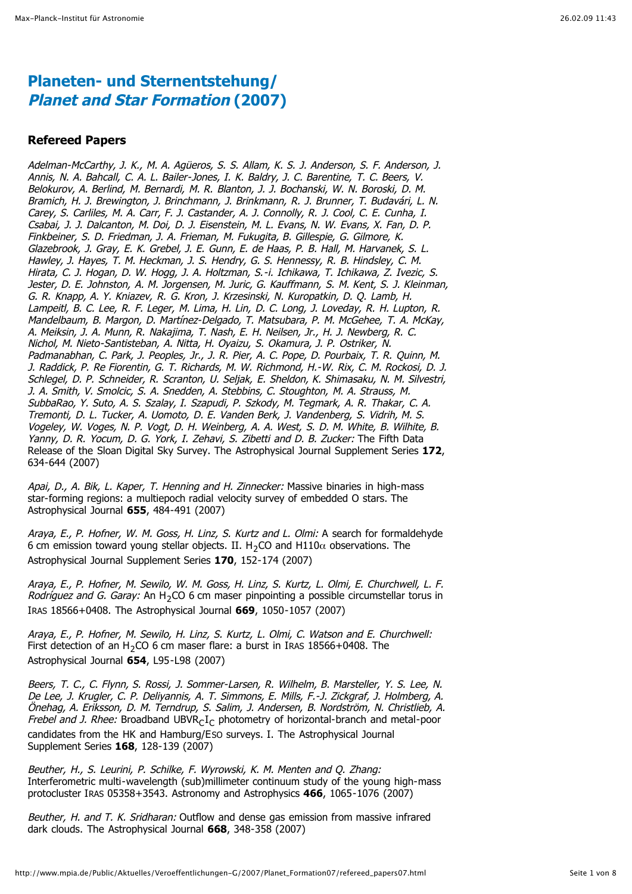## **Planeten- und Sternentstehung/ Planet and Star Formation (2007)**

#### **Refereed Papers**

Adelman-McCarthy, J. K., M. A. Agüeros, S. S. Allam, K. S. J. Anderson, S. F. Anderson, J. Annis, N. A. Bahcall, C. A. L. Bailer-Jones, I. K. Baldry, J. C. Barentine, T. C. Beers, V. Belokurov, A. Berlind, M. Bernardi, M. R. Blanton, J. J. Bochanski, W. N. Boroski, D. M. Bramich, H. J. Brewington, J. Brinchmann, J. Brinkmann, R. J. Brunner, T. Budavári, L. N. Carey, S. Carliles, M. A. Carr, F. J. Castander, A. J. Connolly, R. J. Cool, C. E. Cunha, I. Csabai, J. J. Dalcanton, M. Doi, D. J. Eisenstein, M. L. Evans, N. W. Evans, X. Fan, D. P. Finkbeiner, S. D. Friedman, J. A. Frieman, M. Fukugita, B. Gillespie, G. Gilmore, K. Glazebrook, J. Gray, E. K. Grebel, J. E. Gunn, E. de Haas, P. B. Hall, M. Harvanek, S. L. Hawley, J. Hayes, T. M. Heckman, J. S. Hendry, G. S. Hennessy, R. B. Hindsley, C. M. Hirata, C. J. Hogan, D. W. Hogg, J. A. Holtzman, S.-i. Ichikawa, T. Ichikawa, Z. Ivezic, S. Jester, D. E. Johnston, A. M. Jorgensen, M. Juric, G. Kauffmann, S. M. Kent, S. J. Kleinman, G. R. Knapp, A. Y. Kniazev, R. G. Kron, J. Krzesinski, N. Kuropatkin, D. Q. Lamb, H. Lampeitl, B. C. Lee, R. F. Leger, M. Lima, H. Lin, D. C. Long, J. Loveday, R. H. Lupton, R. Mandelbaum, B. Margon, D. Martínez-Delgado, T. Matsubara, P. M. McGehee, T. A. McKay, A. Meiksin, J. A. Munn, R. Nakajima, T. Nash, E. H. Neilsen, Jr., H. J. Newberg, R. C. Nichol, M. Nieto-Santisteban, A. Nitta, H. Oyaizu, S. Okamura, J. P. Ostriker, N. Padmanabhan, C. Park, J. Peoples, Jr., J. R. Pier, A. C. Pope, D. Pourbaix, T. R. Quinn, M. J. Raddick, P. Re Fiorentin, G. T. Richards, M. W. Richmond, H.-W. Rix, C. M. Rockosi, D. J. Schlegel, D. P. Schneider, R. Scranton, U. Seljak, E. Sheldon, K. Shimasaku, N. M. Silvestri, J. A. Smith, V. Smolcic, S. A. Snedden, A. Stebbins, C. Stoughton, M. A. Strauss, M. SubbaRao, Y. Suto, A. S. Szalay, I. Szapudi, P. Szkody, M. Tegmark, A. R. Thakar, C. A. Tremonti, D. L. Tucker, A. Uomoto, D. E. Vanden Berk, J. Vandenberg, S. Vidrih, M. S. Vogeley, W. Voges, N. P. Vogt, D. H. Weinberg, A. A. West, S. D. M. White, B. Wilhite, B. Yanny, D. R. Yocum, D. G. York, I. Zehavi, S. Zibetti and D. B. Zucker: The Fifth Data Release of the Sloan Digital Sky Survey. The Astrophysical Journal Supplement Series **172**, 634-644 (2007)

Apai, D., A. Bik, L. Kaper, T. Henning and H. Zinnecker: Massive binaries in high-mass star-forming regions: a multiepoch radial velocity survey of embedded O stars. The Astrophysical Journal **655**, 484-491 (2007)

Araya, E., P. Hofner, W. M. Goss, H. Linz, S. Kurtz and L. Olmi: A search for formaldehyde 6 cm emission toward young stellar objects. II. H<sub>2</sub>CO and H110 $\alpha$  observations. The Astrophysical Journal Supplement Series **170**, 152-174 (2007)

Araya, E., P. Hofner, M. Sewilo, W. M. Goss, H. Linz, S. Kurtz, L. Olmi, E. Churchwell, L. F. *Rodríguez and G. Garay:* An H<sub>2</sub>CO 6 cm maser pinpointing a possible circumstellar torus in IRAS 18566+0408. The Astrophysical Journal **669**, 1050-1057 (2007)

Araya, E., P. Hofner, M. Sewilo, H. Linz, S. Kurtz, L. Olmi, C. Watson and E. Churchwell: First detection of an H<sub>2</sub>CO 6 cm maser flare: a burst in IRAS 18566+0408. The Astrophysical Journal **654**, L95-L98 (2007)

Beers, T. C., C. Flynn, S. Rossi, J. Sommer-Larsen, R. Wilhelm, B. Marsteller, Y. S. Lee, N. De Lee, J. Krugler, C. P. Deliyannis, A. T. Simmons, E. Mills, F.-J. Zickgraf, J. Holmberg, A. Önehag, A. Eriksson, D. M. Terndrup, S. Salim, J. Andersen, B. Nordström, N. Christlieb, A. Frebel and J. Rhee: Broadband UBVR $cI<sub>C</sub>$  photometry of horizontal-branch and metal-poor candidates from the HK and Hamburg/ESO surveys. I. The Astrophysical Journal Supplement Series **168**, 128-139 (2007)

Beuther, H., S. Leurini, P. Schilke, F. Wyrowski, K. M. Menten and Q. Zhang: Interferometric multi-wavelength (sub)millimeter continuum study of the young high-mass protocluster IRAS 05358+3543. Astronomy and Astrophysics **466**, 1065-1076 (2007)

Beuther, H. and T. K. Sridharan: Outflow and dense gas emission from massive infrared dark clouds. The Astrophysical Journal **668**, 348-358 (2007)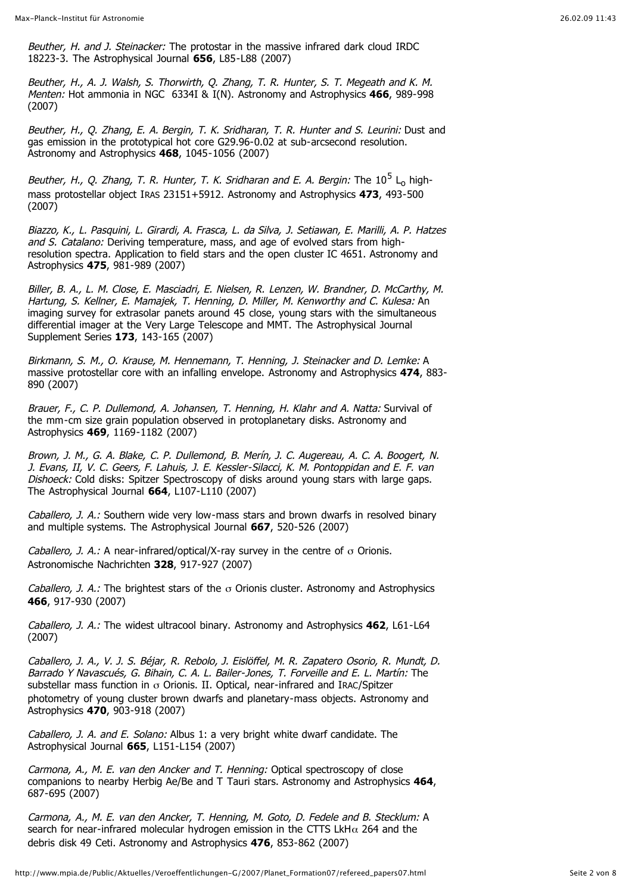Beuther, H. and J. Steinacker: The protostar in the massive infrared dark cloud IRDC 18223-3. The Astrophysical Journal **656**, L85-L88 (2007)

Beuther, H., A. J. Walsh, S. Thorwirth, Q. Zhang, T. R. Hunter, S. T. Megeath and K. M. Menten: Hot ammonia in NGC 6334I & I(N). Astronomy and Astrophysics **466**, 989-998 (2007)

Beuther, H., O. Zhang, E. A. Bergin, T. K. Sridharan, T. R. Hunter and S. Leurini: Dust and gas emission in the prototypical hot core G29.96-0.02 at sub-arcsecond resolution. Astronomy and Astrophysics **468**, 1045-1056 (2007)

Beuther, H., Q. Zhang, T. R. Hunter, T. K. Sridharan and E. A. Bergin: The  $10^5$  L<sub>o</sub> highmass protostellar object IRAS 23151+5912. Astronomy and Astrophysics **473**, 493-500 (2007)

Biazzo, K., L. Pasquini, L. Girardi, A. Frasca, L. da Silva, J. Setiawan, E. Marilli, A. P. Hatzes and S. Catalano: Deriving temperature, mass, and age of evolved stars from highresolution spectra. Application to field stars and the open cluster IC 4651. Astronomy and Astrophysics **475**, 981-989 (2007)

Biller, B. A., L. M. Close, E. Masciadri, E. Nielsen, R. Lenzen, W. Brandner, D. McCarthy, M. Hartung, S. Kellner, E. Mamajek, T. Henning, D. Miller, M. Kenworthy and C. Kulesa: An imaging survey for extrasolar panets around 45 close, young stars with the simultaneous differential imager at the Very Large Telescope and MMT. The Astrophysical Journal Supplement Series **173**, 143-165 (2007)

Birkmann, S. M., O. Krause, M. Hennemann, T. Henning, J. Steinacker and D. Lemke: A massive protostellar core with an infalling envelope. Astronomy and Astrophysics **474**, 883- 890 (2007)

Brauer, F., C. P. Dullemond, A. Johansen, T. Henning, H. Klahr and A. Natta: Survival of the mm-cm size grain population observed in protoplanetary disks. Astronomy and Astrophysics **469**, 1169-1182 (2007)

Brown, J. M., G. A. Blake, C. P. Dullemond, B. Merín, J. C. Augereau, A. C. A. Boogert, N. J. Evans, II, V. C. Geers, F. Lahuis, J. E. Kessler-Silacci, K. M. Pontoppidan and E. F. van Dishoeck: Cold disks: Spitzer Spectroscopy of disks around young stars with large gaps. The Astrophysical Journal **664**, L107-L110 (2007)

Caballero, J. A.: Southern wide very low-mass stars and brown dwarfs in resolved binary and multiple systems. The Astrophysical Journal **667**, 520-526 (2007)

Caballero, J. A.: A near-infrared/optical/X-ray survey in the centre of  $\sigma$  Orionis. Astronomische Nachrichten **328**, 917-927 (2007)

Caballero, J. A.: The brightest stars of the  $\sigma$  Orionis cluster. Astronomy and Astrophysics **466**, 917-930 (2007)

Caballero, J. A.: The widest ultracool binary. Astronomy and Astrophysics **462**, L61-L64 (2007)

Caballero, J. A., V. J. S. Béjar, R. Rebolo, J. Eislöffel, M. R. Zapatero Osorio, R. Mundt, D. Barrado Y Navascués, G. Bihain, C. A. L. Bailer-Jones, T. Forveille and E. L. Martín: The substellar mass function in  $\sigma$  Orionis. II. Optical, near-infrared and IRAC/Spitzer photometry of young cluster brown dwarfs and planetary-mass objects. Astronomy and Astrophysics **470**, 903-918 (2007)

Caballero, J. A. and E. Solano: Albus 1: a very bright white dwarf candidate. The Astrophysical Journal **665**, L151-L154 (2007)

Carmona, A., M. E. van den Ancker and T. Henning: Optical spectroscopy of close companions to nearby Herbig Ae/Be and T Tauri stars. Astronomy and Astrophysics **464**, 687-695 (2007)

Carmona, A., M. E. van den Ancker, T. Henning, M. Goto, D. Fedele and B. Stecklum: A search for near-infrared molecular hydrogen emission in the CTTS LkH $\alpha$  264 and the debris disk 49 Ceti. Astronomy and Astrophysics **476**, 853-862 (2007)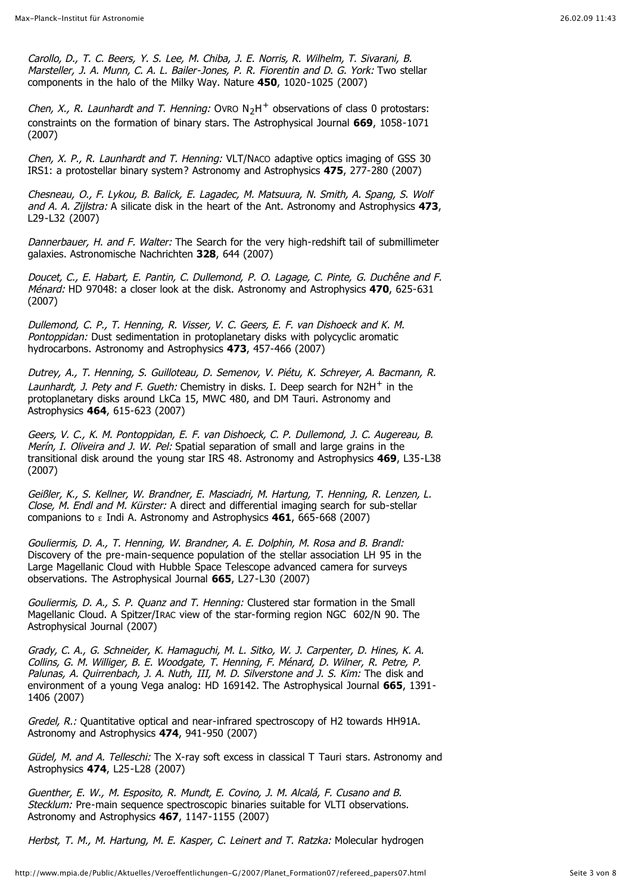Carollo, D., T. C. Beers, Y. S. Lee, M. Chiba, J. E. Norris, R. Wilhelm, T. Sivarani, B. Marsteller, J. A. Munn, C. A. L. Bailer-Jones, P. R. Fiorentin and D. G. York: Two stellar components in the halo of the Milky Way. Nature **450**, 1020-1025 (2007)

Chen, X., R. Launhardt and T. Henning: Ovro  $N<sub>2</sub>H<sup>+</sup>$  observations of class 0 protostars: constraints on the formation of binary stars. The Astrophysical Journal **669**, 1058-1071 (2007)

Chen, X. P., R. Launhardt and T. Henning: VLT/NACO adaptive optics imaging of GSS 30 IRS1: a protostellar binary system? Astronomy and Astrophysics **475**, 277-280 (2007)

Chesneau, O., F. Lykou, B. Balick, E. Lagadec, M. Matsuura, N. Smith, A. Spang, S. Wolf and A. A. Zijlstra: A silicate disk in the heart of the Ant. Astronomy and Astrophysics **473**, L29-L32 (2007)

Dannerbauer, H. and F. Walter: The Search for the very high-redshift tail of submillimeter galaxies. Astronomische Nachrichten **328**, 644 (2007)

Doucet, C., E. Habart, E. Pantin, C. Dullemond, P. O. Lagage, C. Pinte, G. Duchêne and F. Ménard: HD 97048: a closer look at the disk. Astronomy and Astrophysics **470**, 625-631 (2007)

Dullemond, C. P., T. Henning, R. Visser, V. C. Geers, E. F. van Dishoeck and K. M. Pontoppidan: Dust sedimentation in protoplanetary disks with polycyclic aromatic hydrocarbons. Astronomy and Astrophysics **473**, 457-466 (2007)

Dutrey, A., T. Henning, S. Guilloteau, D. Semenov, V. Piétu, K. Schreyer, A. Bacmann, R. Launhardt, J. Pety and F. Gueth: Chemistry in disks. I. Deep search for  $N2H^{+}$  in the protoplanetary disks around LkCa 15, MWC 480, and DM Tauri. Astronomy and Astrophysics **464**, 615-623 (2007)

Geers, V. C., K. M. Pontoppidan, E. F. van Dishoeck, C. P. Dullemond, J. C. Augereau, B. Merín, I. Oliveira and J. W. Pel: Spatial separation of small and large grains in the transitional disk around the young star IRS 48. Astronomy and Astrophysics **469**, L35-L38 (2007)

Geißler, K., S. Kellner, W. Brandner, E. Masciadri, M. Hartung, T. Henning, R. Lenzen, L. Close, M. Endl and M. Kürster: A direct and differential imaging search for sub-stellar companions to  $\epsilon$  Indi A. Astronomy and Astrophysics **461**, 665-668 (2007)

Gouliermis, D. A., T. Henning, W. Brandner, A. E. Dolphin, M. Rosa and B. Brandl: Discovery of the pre-main-sequence population of the stellar association LH 95 in the Large Magellanic Cloud with Hubble Space Telescope advanced camera for surveys observations. The Astrophysical Journal **665**, L27-L30 (2007)

Gouliermis, D. A., S. P. Quanz and T. Henning: Clustered star formation in the Small Magellanic Cloud. A Spitzer/IRAC view of the star-forming region NGC 602/N 90. The Astrophysical Journal (2007)

Grady, C. A., G. Schneider, K. Hamaguchi, M. L. Sitko, W. J. Carpenter, D. Hines, K. A. Collins, G. M. Williger, B. E. Woodgate, T. Henning, F. Ménard, D. Wilner, R. Petre, P. Palunas, A. Quirrenbach, J. A. Nuth, III, M. D. Silverstone and J. S. Kim: The disk and environment of a young Vega analog: HD 169142. The Astrophysical Journal **665**, 1391- 1406 (2007)

Gredel, R.: Quantitative optical and near-infrared spectroscopy of H2 towards HH91A. Astronomy and Astrophysics **474**, 941-950 (2007)

Güdel, M. and A. Telleschi: The X-ray soft excess in classical T Tauri stars. Astronomy and Astrophysics **474**, L25-L28 (2007)

Guenther, E. W., M. Esposito, R. Mundt, E. Covino, J. M. Alcalá, F. Cusano and B. Stecklum: Pre-main sequence spectroscopic binaries suitable for VLTI observations. Astronomy and Astrophysics **467**, 1147-1155 (2007)

Herbst, T. M., M. Hartung, M. E. Kasper, C. Leinert and T. Ratzka: Molecular hydrogen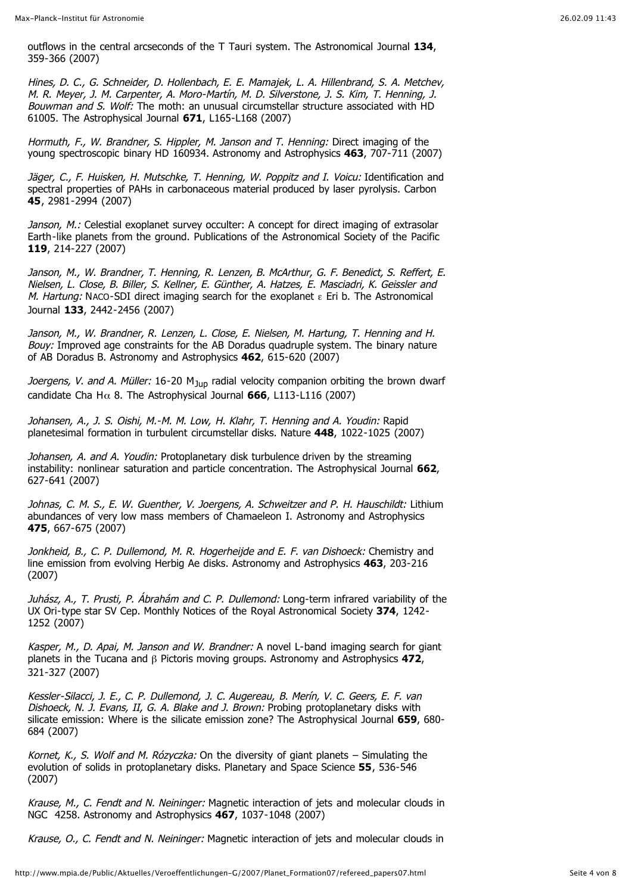outflows in the central arcseconds of the T Tauri system. The Astronomical Journal **134**, 359-366 (2007)

Hines, D. C., G. Schneider, D. Hollenbach, E. E. Mamajek, L. A. Hillenbrand, S. A. Metchev, M. R. Meyer, J. M. Carpenter, A. Moro-Martín, M. D. Silverstone, J. S. Kim, T. Henning, J. Bouwman and S. Wolf: The moth: an unusual circumstellar structure associated with HD 61005. The Astrophysical Journal **671**, L165-L168 (2007)

Hormuth, F., W. Brandner, S. Hippler, M. Janson and T. Henning: Direct imaging of the young spectroscopic binary HD 160934. Astronomy and Astrophysics **463**, 707-711 (2007)

Jäger, C., F. Huisken, H. Mutschke, T. Henning, W. Poppitz and I. Voicu: Identification and spectral properties of PAHs in carbonaceous material produced by laser pyrolysis. Carbon **45**, 2981-2994 (2007)

Janson, M.: Celestial exoplanet survey occulter: A concept for direct imaging of extrasolar Earth-like planets from the ground. Publications of the Astronomical Society of the Pacific **119**, 214-227 (2007)

Janson, M., W. Brandner, T. Henning, R. Lenzen, B. McArthur, G. F. Benedict, S. Reffert, E. Nielsen, L. Close, B. Biller, S. Kellner, E. Günther, A. Hatzes, E. Masciadri, K. Geissler and M. Hartung: NACO-SDI direct imaging search for the exoplanet  $\epsilon$  Eri b. The Astronomical Journal **133**, 2442-2456 (2007)

Janson, M., W. Brandner, R. Lenzen, L. Close, E. Nielsen, M. Hartung, T. Henning and H. Bouy: Improved age constraints for the AB Doradus quadruple system. The binary nature of AB Doradus B. Astronomy and Astrophysics **462**, 615-620 (2007)

Joergens, V. and A. Müller: 16-20  $M_{Jup}$  radial velocity companion orbiting the brown dwarf candidate Cha H $\alpha$  8. The Astrophysical Journal **666**, L113-L116 (2007)

Johansen, A., J. S. Oishi, M.-M. M. Low, H. Klahr, T. Henning and A. Youdin: Rapid planetesimal formation in turbulent circumstellar disks. Nature **448**, 1022-1025 (2007)

Johansen, A. and A. Youdin: Protoplanetary disk turbulence driven by the streaming instability: nonlinear saturation and particle concentration. The Astrophysical Journal **662**, 627-641 (2007)

Johnas, C. M. S., E. W. Guenther, V. Joergens, A. Schweitzer and P. H. Hauschildt: Lithium abundances of very low mass members of Chamaeleon I. Astronomy and Astrophysics **475**, 667-675 (2007)

Jonkheid, B., C. P. Dullemond, M. R. Hogerheijde and E. F. van Dishoeck: Chemistry and line emission from evolving Herbig Ae disks. Astronomy and Astrophysics **463**, 203-216 (2007)

Juhász, A., T. Prusti, P. Ábrahám and C. P. Dullemond: Long-term infrared variability of the UX Ori-type star SV Cep. Monthly Notices of the Royal Astronomical Society **374**, 1242- 1252 (2007)

Kasper, M., D. Apai, M. Janson and W. Brandner: A novel L-band imaging search for giant planets in the Tucana and  $\beta$  Pictoris moving groups. Astronomy and Astrophysics 472, 321-327 (2007)

Kessler-Silacci, J. E., C. P. Dullemond, J. C. Augereau, B. Merín, V. C. Geers, E. F. van Dishoeck, N. J. Evans, II, G. A. Blake and J. Brown: Probing protoplanetary disks with silicate emission: Where is the silicate emission zone? The Astrophysical Journal **659**, 680- 684 (2007)

Kornet, K., S. Wolf and M. Rózyczka: On the diversity of giant planets  $-$  Simulating the evolution of solids in protoplanetary disks. Planetary and Space Science **55**, 536-546 (2007)

Krause, M., C. Fendt and N. Neininger: Magnetic interaction of jets and molecular clouds in NGC 4258. Astronomy and Astrophysics **467**, 1037-1048 (2007)

Krause, O., C. Fendt and N. Neininger: Magnetic interaction of jets and molecular clouds in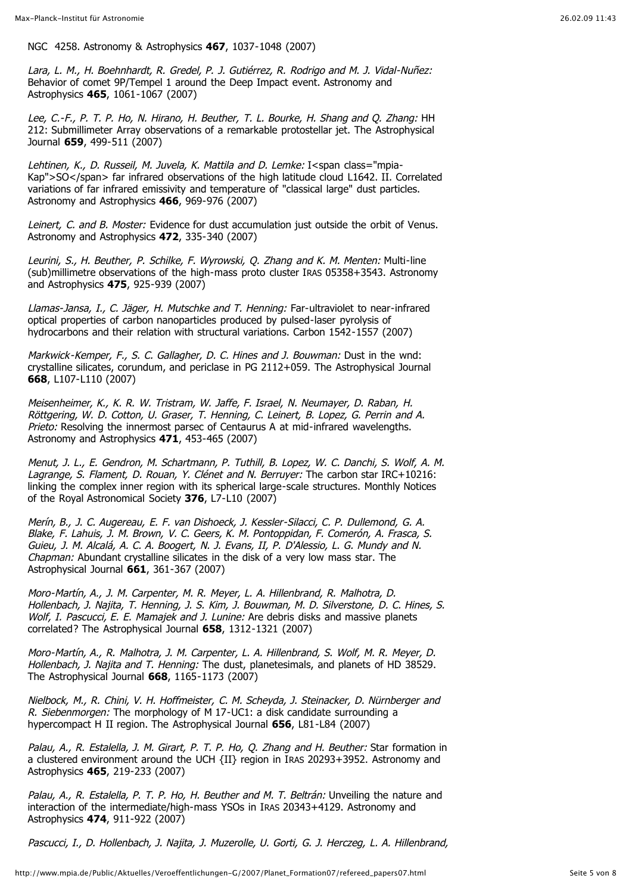NGC 4258. Astronomy & Astrophysics **467**, 1037-1048 (2007)

Lara, L. M., H. Boehnhardt, R. Gredel, P. J. Gutiérrez, R. Rodrigo and M. J. Vidal-Nuñez: Behavior of comet 9P/Tempel 1 around the Deep Impact event. Astronomy and Astrophysics **465**, 1061-1067 (2007)

Lee, C.-F., P. T. P. Ho, N. Hirano, H. Beuther, T. L. Bourke, H. Shang and Q. Zhang: HH 212: Submillimeter Array observations of a remarkable protostellar jet. The Astrophysical Journal **659**, 499-511 (2007)

Lehtinen, K., D. Russeil, M. Juvela, K. Mattila and D. Lemke: I<span class="mpia-Kap">SO</span> far infrared observations of the high latitude cloud L1642. II. Correlated variations of far infrared emissivity and temperature of "classical large" dust particles. Astronomy and Astrophysics **466**, 969-976 (2007)

Leinert, C. and B. Moster: Evidence for dust accumulation just outside the orbit of Venus. Astronomy and Astrophysics **472**, 335-340 (2007)

Leurini, S., H. Beuther, P. Schilke, F. Wyrowski, Q. Zhang and K. M. Menten: Multi-line (sub)millimetre observations of the high-mass proto cluster IRAS 05358+3543. Astronomy and Astrophysics **475**, 925-939 (2007)

Llamas-Jansa, I., C. Jäger, H. Mutschke and T. Henning: Far-ultraviolet to near-infrared optical properties of carbon nanoparticles produced by pulsed-laser pyrolysis of hydrocarbons and their relation with structural variations. Carbon 1542-1557 (2007)

Markwick-Kemper, F., S. C. Gallagher, D. C. Hines and J. Bouwman: Dust in the wnd: crystalline silicates, corundum, and periclase in PG 2112+059. The Astrophysical Journal **668**, L107-L110 (2007)

Meisenheimer, K., K. R. W. Tristram, W. Jaffe, F. Israel, N. Neumayer, D. Raban, H. Röttgering, W. D. Cotton, U. Graser, T. Henning, C. Leinert, B. Lopez, G. Perrin and A. Prieto: Resolving the innermost parsec of Centaurus A at mid-infrared wavelengths. Astronomy and Astrophysics **471**, 453-465 (2007)

Menut, J. L., E. Gendron, M. Schartmann, P. Tuthill, B. Lopez, W. C. Danchi, S. Wolf, A. M. Lagrange, S. Flament, D. Rouan, Y. Clénet and N. Berruyer: The carbon star IRC+10216: linking the complex inner region with its spherical large-scale structures. Monthly Notices of the Royal Astronomical Society **376**, L7-L10 (2007)

Merín, B., J. C. Augereau, E. F. van Dishoeck, J. Kessler-Silacci, C. P. Dullemond, G. A. Blake, F. Lahuis, J. M. Brown, V. C. Geers, K. M. Pontoppidan, F. Comerón, A. Frasca, S. Guieu, J. M. Alcalá, A. C. A. Boogert, N. J. Evans, II, P. D'Alessio, L. G. Mundy and N. Chapman: Abundant crystalline silicates in the disk of a very low mass star. The Astrophysical Journal **661**, 361-367 (2007)

Moro-Martín, A., J. M. Carpenter, M. R. Meyer, L. A. Hillenbrand, R. Malhotra, D. Hollenbach, J. Najita, T. Henning, J. S. Kim, J. Bouwman, M. D. Silverstone, D. C. Hines, S. Wolf, I. Pascucci, E. E. Mamajek and J. Lunine: Are debris disks and massive planets correlated? The Astrophysical Journal **658**, 1312-1321 (2007)

Moro-Martín, A., R. Malhotra, J. M. Carpenter, L. A. Hillenbrand, S. Wolf, M. R. Meyer, D. Hollenbach, J. Najita and T. Henning: The dust, planetesimals, and planets of HD 38529. The Astrophysical Journal **668**, 1165-1173 (2007)

Nielbock, M., R. Chini, V. H. Hoffmeister, C. M. Scheyda, J. Steinacker, D. Nürnberger and R. Siebenmorgen: The morphology of M 17-UC1: a disk candidate surrounding a hypercompact H II region. The Astrophysical Journal **656**, L81-L84 (2007)

Palau, A., R. Estalella, J. M. Girart, P. T. P. Ho, O. Zhang and H. Beuther: Star formation in a clustered environment around the UCH {II} region in IRAS 20293+3952. Astronomy and Astrophysics **465**, 219-233 (2007)

Palau, A., R. Estalella, P. T. P. Ho, H. Beuther and M. T. Beltrán: Unveiling the nature and interaction of the intermediate/high-mass YSOs in IRAS 20343+4129. Astronomy and Astrophysics **474**, 911-922 (2007)

Pascucci, I., D. Hollenbach, J. Najita, J. Muzerolle, U. Gorti, G. J. Herczeg, L. A. Hillenbrand,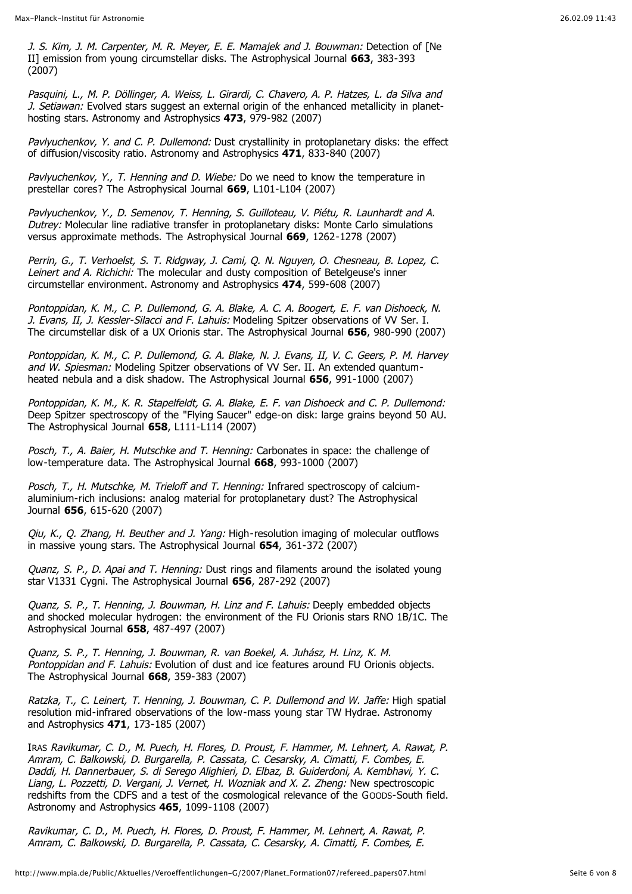J. S. Kim, J. M. Carpenter, M. R. Meyer, E. E. Mamajek and J. Bouwman: Detection of [Ne II] emission from young circumstellar disks. The Astrophysical Journal **663**, 383-393 (2007)

Pasquini, L., M. P. Döllinger, A. Weiss, L. Girardi, C. Chavero, A. P. Hatzes, L. da Silva and J. Setiawan: Evolved stars suggest an external origin of the enhanced metallicity in planethosting stars. Astronomy and Astrophysics **473**, 979-982 (2007)

Pavlyuchenkov, Y. and C. P. Dullemond: Dust crystallinity in protoplanetary disks: the effect of diffusion/viscosity ratio. Astronomy and Astrophysics **471**, 833-840 (2007)

Pavlyuchenkov, Y., T. Henning and D. Wiebe: Do we need to know the temperature in prestellar cores? The Astrophysical Journal **669**, L101-L104 (2007)

Pavlyuchenkov, Y., D. Semenov, T. Henning, S. Guilloteau, V. Piétu, R. Launhardt and A. Dutrey: Molecular line radiative transfer in protoplanetary disks: Monte Carlo simulations versus approximate methods. The Astrophysical Journal **669**, 1262-1278 (2007)

Perrin, G., T. Verhoelst, S. T. Ridgway, J. Cami, Q. N. Nguyen, O. Chesneau, B. Lopez, C. Leinert and A. Richichi: The molecular and dusty composition of Betelgeuse's inner circumstellar environment. Astronomy and Astrophysics **474**, 599-608 (2007)

Pontoppidan, K. M., C. P. Dullemond, G. A. Blake, A. C. A. Boogert, E. F. van Dishoeck, N. J. Evans, II, J. Kessler-Silacci and F. Lahuis: Modeling Spitzer observations of VV Ser. I. The circumstellar disk of a UX Orionis star. The Astrophysical Journal **656**, 980-990 (2007)

Pontoppidan, K. M., C. P. Dullemond, G. A. Blake, N. J. Evans, II, V. C. Geers, P. M. Harvey and W. Spiesman: Modeling Spitzer observations of VV Ser. II. An extended quantumheated nebula and a disk shadow. The Astrophysical Journal **656**, 991-1000 (2007)

Pontoppidan, K. M., K. R. Stapelfeldt, G. A. Blake, E. F. van Dishoeck and C. P. Dullemond: Deep Spitzer spectroscopy of the "Flying Saucer" edge-on disk: large grains beyond 50 AU. The Astrophysical Journal **658**, L111-L114 (2007)

Posch, T., A. Baier, H. Mutschke and T. Henning: Carbonates in space: the challenge of low-temperature data. The Astrophysical Journal **668**, 993-1000 (2007)

Posch, T., H. Mutschke, M. Trieloff and T. Henning: Infrared spectroscopy of calciumaluminium-rich inclusions: analog material for protoplanetary dust? The Astrophysical Journal **656**, 615-620 (2007)

 $Qiu, K, O, Zhana, H. Beuther and J. Yana: High-resolution imaging of molecular outflows$ in massive young stars. The Astrophysical Journal **654**, 361-372 (2007)

Quanz, S. P., D. Apai and T. Henning: Dust rings and filaments around the isolated young star V1331 Cygni. The Astrophysical Journal **656**, 287-292 (2007)

Quanz, S. P., T. Henning, J. Bouwman, H. Linz and F. Lahuis: Deeply embedded objects and shocked molecular hydrogen: the environment of the FU Orionis stars RNO 1B/1C. The Astrophysical Journal **658**, 487-497 (2007)

Quanz, S. P., T. Henning, J. Bouwman, R. van Boekel, A. Juhász, H. Linz, K. M. Pontoppidan and F. Lahuis: Evolution of dust and ice features around FU Orionis objects. The Astrophysical Journal **668**, 359-383 (2007)

Ratzka, T., C. Leinert, T. Henning, J. Bouwman, C. P. Dullemond and W. Jaffe: High spatial resolution mid-infrared observations of the low-mass young star TW Hydrae. Astronomy and Astrophysics **471**, 173-185 (2007)

IRAS Ravikumar, C. D., M. Puech, H. Flores, D. Proust, F. Hammer, M. Lehnert, A. Rawat, P. Amram, C. Balkowski, D. Burgarella, P. Cassata, C. Cesarsky, A. Cimatti, F. Combes, E. Daddi, H. Dannerbauer, S. di Serego Alighieri, D. Elbaz, B. Guiderdoni, A. Kembhavi, Y. C. Liang, L. Pozzetti, D. Vergani, J. Vernet, H. Wozniak and X. Z. Zheng: New spectroscopic redshifts from the CDFS and a test of the cosmological relevance of the GOODS-South field. Astronomy and Astrophysics **465**, 1099-1108 (2007)

Ravikumar, C. D., M. Puech, H. Flores, D. Proust, F. Hammer, M. Lehnert, A. Rawat, P. Amram, C. Balkowski, D. Burgarella, P. Cassata, C. Cesarsky, A. Cimatti, F. Combes, E.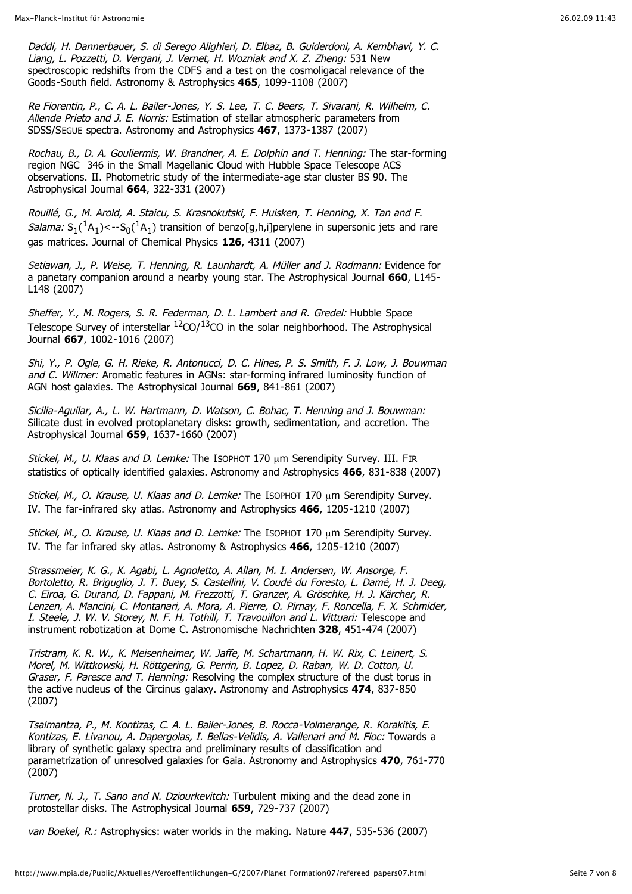Daddi, H. Dannerbauer, S. di Serego Alighieri, D. Elbaz, B. Guiderdoni, A. Kembhavi, Y. C. Liang, L. Pozzetti, D. Vergani, J. Vernet, H. Wozniak and X. Z. Zheng: 531 New spectroscopic redshifts from the CDFS and a test on the cosmoligacal relevance of the Goods-South field. Astronomy & Astrophysics **465**, 1099-1108 (2007)

Re Fiorentin, P., C. A. L. Bailer-Jones, Y. S. Lee, T. C. Beers, T. Sivarani, R. Wilhelm, C. Allende Prieto and J. E. Norris: Estimation of stellar atmospheric parameters from SDSS/SEGUE spectra. Astronomy and Astrophysics **467**, 1373-1387 (2007)

Rochau, B., D. A. Gouliermis, W. Brandner, A. E. Dolphin and T. Henning: The star-forming region NGC 346 in the Small Magellanic Cloud with Hubble Space Telescope ACS observations. II. Photometric study of the intermediate-age star cluster BS 90. The Astrophysical Journal **664**, 322-331 (2007)

Rouillé, G., M. Arold, A. Staicu, S. Krasnokutski, F. Huisken, T. Henning, X. Tan and F. *Salama:*  $S_1({}^1A_1)$ <- $S_0({}^1A_1)$  transition of benzo[q,h,i]perylene in supersonic jets and rare gas matrices. Journal of Chemical Physics **126**, 4311 (2007)

Setiawan, J., P. Weise, T. Henning, R. Launhardt, A. Müller and J. Rodmann: Evidence for a panetary companion around a nearby young star. The Astrophysical Journal **660**, L145- L148 (2007)

Sheffer, Y., M. Rogers, S. R. Federman, D. L. Lambert and R. Gredel: Hubble Space Telescope Survey of interstellar  ${}^{12}$ CO/ ${}^{13}$ CO in the solar neighborhood. The Astrophysical Journal **667**, 1002-1016 (2007)

Shi, Y., P. Ogle, G. H. Rieke, R. Antonucci, D. C. Hines, P. S. Smith, F. J. Low, J. Bouwman and C. Willmer: Aromatic features in AGNs: star-forming infrared luminosity function of AGN host galaxies. The Astrophysical Journal **669**, 841-861 (2007)

Sicilia-Aguilar, A., L. W. Hartmann, D. Watson, C. Bohac, T. Henning and J. Bouwman: Silicate dust in evolved protoplanetary disks: growth, sedimentation, and accretion. The Astrophysical Journal **659**, 1637-1660 (2007)

Stickel, M., U. Klaas and D. Lemke: The ISOPHOT 170 μm Serendipity Survey. III. FIR statistics of optically identified galaxies. Astronomy and Astrophysics **466**, 831-838 (2007)

Stickel, M., O. Krause, U. Klaas and D. Lemke: The ISOPHOT 170 μm Serendipity Survey. IV. The far-infrared sky atlas. Astronomy and Astrophysics **466**, 1205-1210 (2007)

Stickel, M., O. Krause, U. Klaas and D. Lemke: The ISOPHOT 170 um Serendipity Survey. IV. The far infrared sky atlas. Astronomy & Astrophysics **466**, 1205-1210 (2007)

Strassmeier, K. G., K. Agabi, L. Agnoletto, A. Allan, M. I. Andersen, W. Ansorge, F. Bortoletto, R. Briguglio, J. T. Buey, S. Castellini, V. Coudé du Foresto, L. Damé, H. J. Deeg, C. Eiroa, G. Durand, D. Fappani, M. Frezzotti, T. Granzer, A. Gröschke, H. J. Kärcher, R. Lenzen, A. Mancini, C. Montanari, A. Mora, A. Pierre, O. Pirnay, F. Roncella, F. X. Schmider, I. Steele, J. W. V. Storey, N. F. H. Tothill, T. Travouillon and L. Vittuari: Telescope and instrument robotization at Dome C. Astronomische Nachrichten **328**, 451-474 (2007)

Tristram, K. R. W., K. Meisenheimer, W. Jaffe, M. Schartmann, H. W. Rix, C. Leinert, S. Morel, M. Wittkowski, H. Röttgering, G. Perrin, B. Lopez, D. Raban, W. D. Cotton, U. Graser, F. Paresce and T. Henning: Resolving the complex structure of the dust torus in the active nucleus of the Circinus galaxy. Astronomy and Astrophysics **474**, 837-850 (2007)

Tsalmantza, P., M. Kontizas, C. A. L. Bailer-Jones, B. Rocca-Volmerange, R. Korakitis, E. Kontizas, E. Livanou, A. Dapergolas, I. Bellas-Velidis, A. Vallenari and M. Fioc: Towards a library of synthetic galaxy spectra and preliminary results of classification and parametrization of unresolved galaxies for Gaia. Astronomy and Astrophysics **470**, 761-770 (2007)

Turner, N. J., T. Sano and N. Dziourkevitch: Turbulent mixing and the dead zone in protostellar disks. The Astrophysical Journal **659**, 729-737 (2007)

van Boekel, R.: Astrophysics: water worlds in the making. Nature **447**, 535-536 (2007)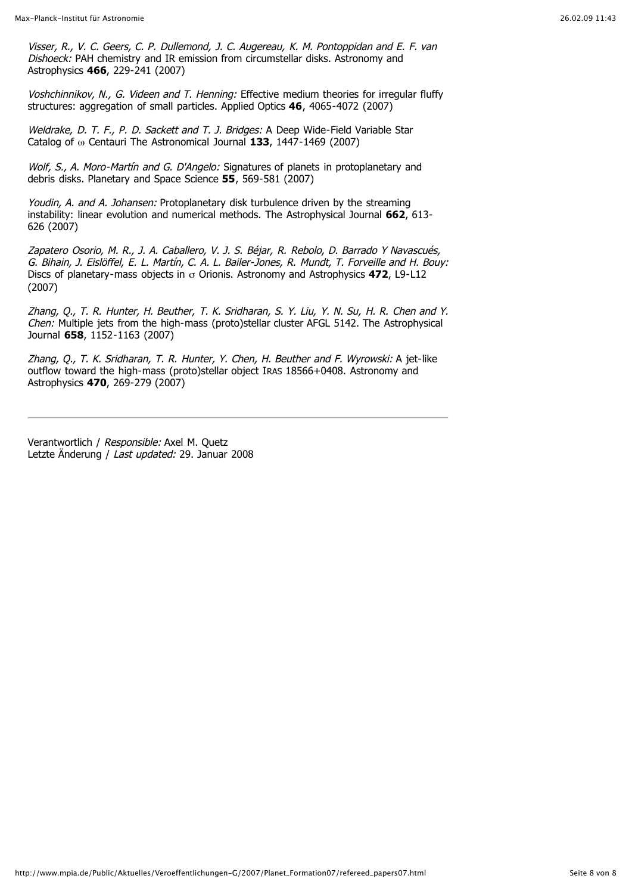Visser, R., V. C. Geers, C. P. Dullemond, J. C. Augereau, K. M. Pontoppidan and E. F. van Dishoeck: PAH chemistry and IR emission from circumstellar disks. Astronomy and Astrophysics **466**, 229-241 (2007)

Voshchinnikov, N., G. Videen and T. Henning: Effective medium theories for irregular fluffy structures: aggregation of small particles. Applied Optics **46**, 4065-4072 (2007)

Weldrake, D. T. F., P. D. Sackett and T. J. Bridges: A Deep Wide-Field Variable Star Catalog of  $\omega$  Centauri The Astronomical Journal **133**, 1447-1469 (2007)

Wolf, S., A. Moro-Martín and G. D'Angelo: Signatures of planets in protoplanetary and debris disks. Planetary and Space Science **55**, 569-581 (2007)

Youdin, A. and A. Johansen: Protoplanetary disk turbulence driven by the streaming instability: linear evolution and numerical methods. The Astrophysical Journal **662**, 613- 626 (2007)

Zapatero Osorio, M. R., J. A. Caballero, V. J. S. Béjar, R. Rebolo, D. Barrado Y Navascués, G. Bihain, J. Eislöffel, E. L. Martín, C. A. L. Bailer-Jones, R. Mundt, T. Forveille and H. Bouy: Discs of planetary-mass objects in  $\sigma$  Orionis. Astronomy and Astrophysics **472**, L9-L12 (2007)

Zhang, Q., T. R. Hunter, H. Beuther, T. K. Sridharan, S. Y. Liu, Y. N. Su, H. R. Chen and Y. Chen: Multiple jets from the high-mass (proto)stellar cluster AFGL 5142. The Astrophysical Journal **658**, 1152-1163 (2007)

Zhang, Q., T. K. Sridharan, T. R. Hunter, Y. Chen, H. Beuther and F. Wyrowski: A jet-like outflow toward the high-mass (proto)stellar object IRAS 18566+0408. Astronomy and Astrophysics **470**, 269-279 (2007)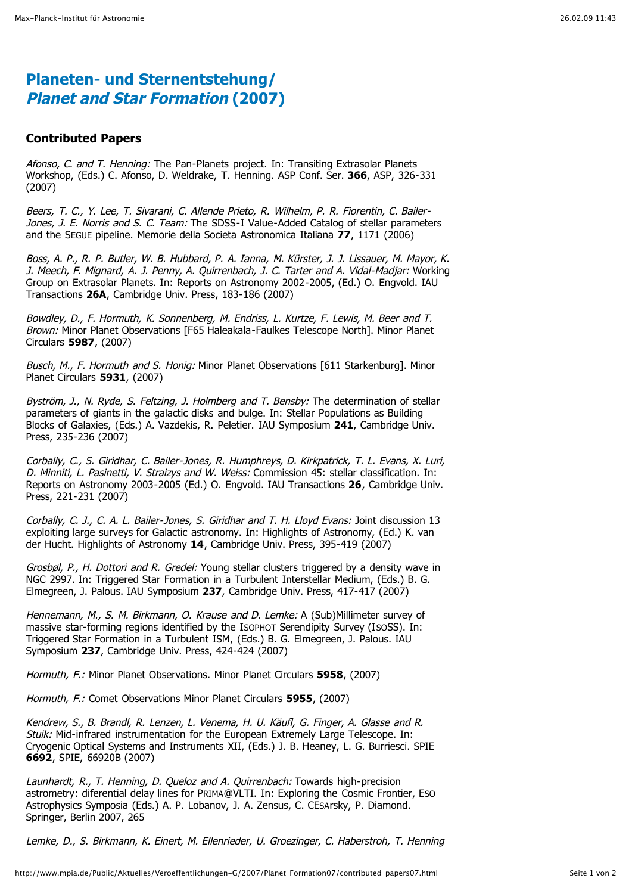## **Planeten- und Sternentstehung/ Planet and Star Formation (2007)**

#### **Contributed Papers**

Afonso, C. and T. Henning: The Pan-Planets project. In: Transiting Extrasolar Planets Workshop, (Eds.) C. Afonso, D. Weldrake, T. Henning. ASP Conf. Ser. **366**, ASP, 326-331 (2007)

Beers, T. C., Y. Lee, T. Sivarani, C. Allende Prieto, R. Wilhelm, P. R. Fiorentin, C. Bailer-Jones, J. E. Norris and S. C. Team: The SDSS-I Value-Added Catalog of stellar parameters and the SEGUE pipeline. Memorie della Societa Astronomica Italiana **77**, 1171 (2006)

Boss, A. P., R. P. Butler, W. B. Hubbard, P. A. Ianna, M. Kürster, J. J. Lissauer, M. Mayor, K. J. Meech, F. Mignard, A. J. Penny, A. Quirrenbach, J. C. Tarter and A. Vidal-Madjar: Working Group on Extrasolar Planets. In: Reports on Astronomy 2002-2005, (Ed.) O. Engvold. IAU Transactions **26A**, Cambridge Univ. Press, 183-186 (2007)

Bowdley, D., F. Hormuth, K. Sonnenberg, M. Endriss, L. Kurtze, F. Lewis, M. Beer and T. Brown: Minor Planet Observations [F65 Haleakala-Faulkes Telescope North]. Minor Planet Circulars **5987**, (2007)

Busch, M., F. Hormuth and S. Honig: Minor Planet Observations [611 Starkenburg]. Minor Planet Circulars **5931**, (2007)

Byström, J., N. Ryde, S. Feltzing, J. Holmberg and T. Bensby: The determination of stellar parameters of giants in the galactic disks and bulge. In: Stellar Populations as Building Blocks of Galaxies, (Eds.) A. Vazdekis, R. Peletier. IAU Symposium **241**, Cambridge Univ. Press, 235-236 (2007)

Corbally, C., S. Giridhar, C. Bailer-Jones, R. Humphreys, D. Kirkpatrick, T. L. Evans, X. Luri, D. Minniti, L. Pasinetti, V. Straizys and W. Weiss: Commission 45: stellar classification. In: Reports on Astronomy 2003-2005 (Ed.) O. Engvold. IAU Transactions **26**, Cambridge Univ. Press, 221-231 (2007)

Corbally, C. J., C. A. L. Bailer-Jones, S. Giridhar and T. H. Lloyd Evans: Joint discussion 13 exploiting large surveys for Galactic astronomy. In: Highlights of Astronomy, (Ed.) K. van der Hucht. Highlights of Astronomy **14**, Cambridge Univ. Press, 395-419 (2007)

Grosbøl, P., H. Dottori and R. Gredel: Young stellar clusters triggered by a density wave in NGC 2997. In: Triggered Star Formation in a Turbulent Interstellar Medium, (Eds.) B. G. Elmegreen, J. Palous. IAU Symposium **237**, Cambridge Univ. Press, 417-417 (2007)

Hennemann, M., S. M. Birkmann, O. Krause and D. Lemke: A (Sub)Millimeter survey of massive star-forming regions identified by the ISOPHOT Serendipity Survey (ISOSS). In: Triggered Star Formation in a Turbulent ISM, (Eds.) B. G. Elmegreen, J. Palous. IAU Symposium **237**, Cambridge Univ. Press, 424-424 (2007)

Hormuth, F.: Minor Planet Observations. Minor Planet Circulars **5958**, (2007)

Hormuth, F.: Comet Observations Minor Planet Circulars **5955**, (2007)

Kendrew, S., B. Brandl, R. Lenzen, L. Venema, H. U. Käufl, G. Finger, A. Glasse and R. Stuik: Mid-infrared instrumentation for the European Extremely Large Telescope. In: Cryogenic Optical Systems and Instruments XII, (Eds.) J. B. Heaney, L. G. Burriesci. SPIE **6692**, SPIE, 66920B (2007)

Launhardt, R., T. Henning, D. Queloz and A. Quirrenbach: Towards high-precision astrometry: diferential delay lines for PRIMA@VLTI. In: Exploring the Cosmic Frontier, ESO Astrophysics Symposia (Eds.) A. P. Lobanov, J. A. Zensus, C. CESArsky, P. Diamond. Springer, Berlin 2007, 265

Lemke, D., S. Birkmann, K. Einert, M. Ellenrieder, U. Groezinger, C. Haberstroh, T. Henning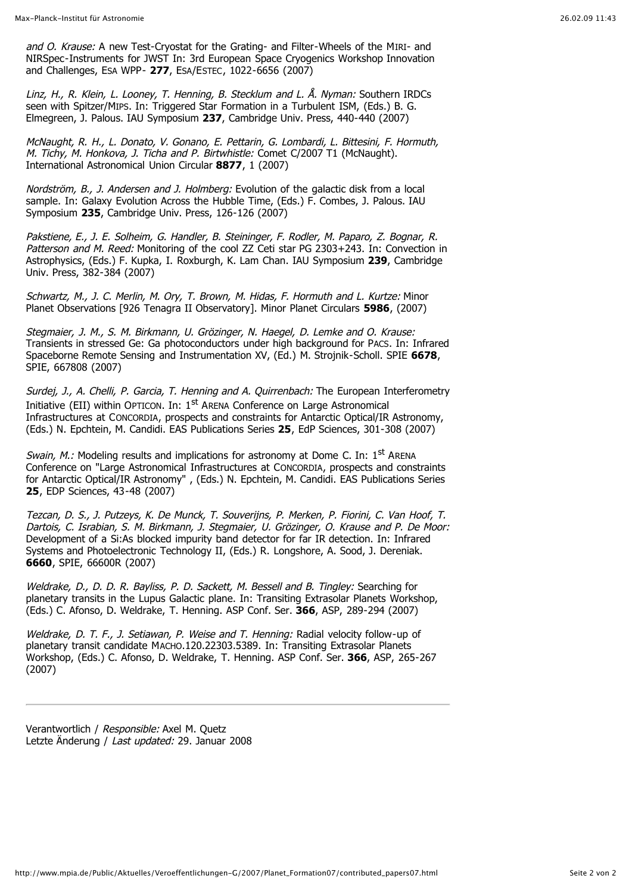and O. Krause: A new Test-Cryostat for the Grating- and Filter-Wheels of the MIRI- and NIRSpec-Instruments for JWST In: 3rd European Space Cryogenics Workshop Innovation and Challenges, ESA WPP- **277**, ESA/ESTEC, 1022-6656 (2007)

Linz, H., R. Klein, L. Looney, T. Henning, B. Stecklum and L. Å. Nyman: Southern IRDCs seen with Spitzer/MIPS. In: Triggered Star Formation in a Turbulent ISM, (Eds.) B. G. Elmegreen, J. Palous. IAU Symposium **237**, Cambridge Univ. Press, 440-440 (2007)

McNaught, R. H., L. Donato, V. Gonano, E. Pettarin, G. Lombardi, L. Bittesini, F. Hormuth, M. Tichy, M. Honkova, J. Ticha and P. Birtwhistle: Comet C/2007 T1 (McNaught). International Astronomical Union Circular **8877**, 1 (2007)

Nordström, B., J. Andersen and J. Holmberg: Evolution of the galactic disk from a local sample. In: Galaxy Evolution Across the Hubble Time, (Eds.) F. Combes, J. Palous. IAU Symposium **235**, Cambridge Univ. Press, 126-126 (2007)

Pakstiene, E., J. E. Solheim, G. Handler, B. Steininger, F. Rodler, M. Paparo, Z. Bognar, R. Patterson and M. Reed: Monitoring of the cool ZZ Ceti star PG 2303+243. In: Convection in Astrophysics, (Eds.) F. Kupka, I. Roxburgh, K. Lam Chan. IAU Symposium **239**, Cambridge Univ. Press, 382-384 (2007)

Schwartz, M., J. C. Merlin, M. Ory, T. Brown, M. Hidas, F. Hormuth and L. Kurtze: Minor Planet Observations [926 Tenagra II Observatory]. Minor Planet Circulars **5986**, (2007)

Stegmaier, J. M., S. M. Birkmann, U. Grözinger, N. Haegel, D. Lemke and O. Krause: Transients in stressed Ge: Ga photoconductors under high background for PACS. In: Infrared Spaceborne Remote Sensing and Instrumentation XV, (Ed.) M. Strojnik-Scholl. SPIE **6678**, SPIE, 667808 (2007)

Surdei, J., A. Chelli, P. Garcia, T. Henning and A. Quirrenbach: The European Interferometry Initiative (EII) within OPTICON. In: 1<sup>st</sup> ARENA Conference on Large Astronomical Infrastructures at CONCORDIA, prospects and constraints for Antarctic Optical/IR Astronomy, (Eds.) N. Epchtein, M. Candidi. EAS Publications Series **25**, EdP Sciences, 301-308 (2007)

*Swain, M.:* Modeling results and implications for astronomy at Dome C. In:  $1<sup>st</sup>$  ARENA Conference on "Large Astronomical Infrastructures at CONCORDIA, prospects and constraints for Antarctic Optical/IR Astronomy" , (Eds.) N. Epchtein, M. Candidi. EAS Publications Series **25**, EDP Sciences, 43-48 (2007)

Tezcan, D. S., J. Putzeys, K. De Munck, T. Souverijns, P. Merken, P. Fiorini, C. Van Hoof, T. Dartois, C. Israbian, S. M. Birkmann, J. Stegmaier, U. Grözinger, O. Krause and P. De Moor: Development of a Si:As blocked impurity band detector for far IR detection. In: Infrared Systems and Photoelectronic Technology II, (Eds.) R. Longshore, A. Sood, J. Dereniak. **6660**, SPIE, 66600R (2007)

Weldrake, D., D. D. R. Bayliss, P. D. Sackett, M. Bessell and B. Tingley: Searching for planetary transits in the Lupus Galactic plane. In: Transiting Extrasolar Planets Workshop, (Eds.) C. Afonso, D. Weldrake, T. Henning. ASP Conf. Ser. **366**, ASP, 289-294 (2007)

Weldrake, D. T. F., J. Setiawan, P. Weise and T. Henning: Radial velocity follow-up of planetary transit candidate MACHO.120.22303.5389. In: Transiting Extrasolar Planets Workshop, (Eds.) C. Afonso, D. Weldrake, T. Henning. ASP Conf. Ser. **366**, ASP, 265-267 (2007)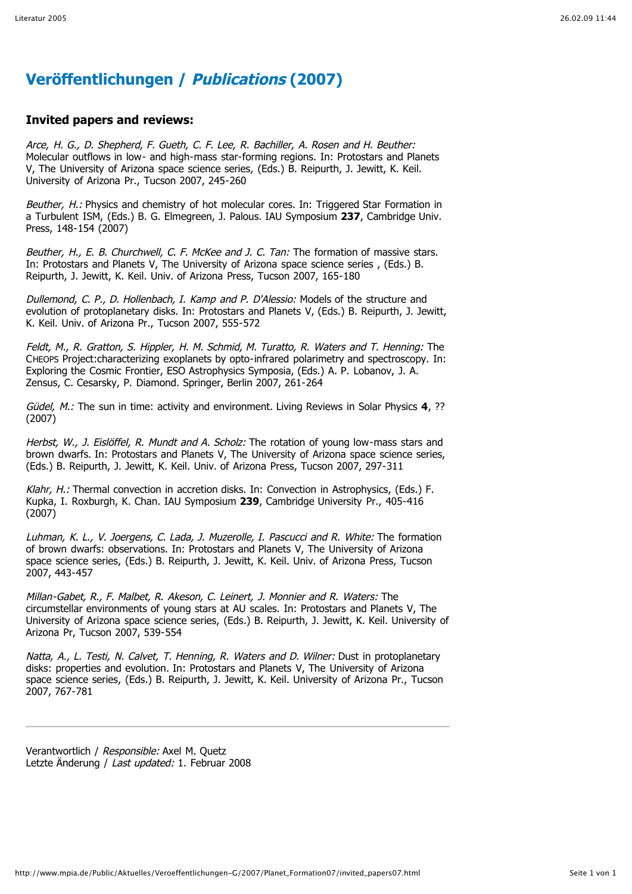## **Veröffentlichungen / Publications (2007)**

#### **Invited papers and reviews:**

Arce, H. G., D. Shepherd, F. Gueth, C. F. Lee, R. Bachiller, A. Rosen and H. Beuther: Molecular outflows in low- and high-mass star-forming regions. In: Protostars and Planets V, The University of Arizona space science series, (Eds.) B. Reipurth, J. Jewitt, K. Keil. University of Arizona Pr., Tucson 2007, 245-260

Beuther, H.: Physics and chemistry of hot molecular cores. In: Triggered Star Formation in a Turbulent ISM, (Eds.) B. G. Elmegreen, J. Palous. IAU Symposium **237**, Cambridge Univ. Press, 148-154 (2007)

Beuther, H., E. B. Churchwell, C. F. McKee and J. C. Tan: The formation of massive stars. In: Protostars and Planets V, The University of Arizona space science series , (Eds.) B. Reipurth, J. Jewitt, K. Keil. Univ. of Arizona Press, Tucson 2007, 165-180

Dullemond, C. P., D. Hollenbach, I. Kamp and P. D'Alessio: Models of the structure and evolution of protoplanetary disks. In: Protostars and Planets V, (Eds.) B. Reipurth, J. Jewitt, K. Keil. Univ. of Arizona Pr., Tucson 2007, 555-572

Feldt, M., R. Gratton, S. Hippler, H. M. Schmid, M. Turatto, R. Waters and T. Henning: The CHEOPS Project:characterizing exoplanets by opto-infrared polarimetry and spectroscopy. In: Exploring the Cosmic Frontier, ESO Astrophysics Symposia, (Eds.) A. P. Lobanov, J. A. Zensus, C. Cesarsky, P. Diamond. Springer, Berlin 2007, 261-264

Güdel, M.: The sun in time: activity and environment. Living Reviews in Solar Physics **4**, ?? (2007)

Herbst, W., J. Eislöffel, R. Mundt and A. Scholz: The rotation of young low-mass stars and brown dwarfs. In: Protostars and Planets V, The University of Arizona space science series, (Eds.) B. Reipurth, J. Jewitt, K. Keil. Univ. of Arizona Press, Tucson 2007, 297-311

Klahr, H.: Thermal convection in accretion disks. In: Convection in Astrophysics, (Eds.) F. Kupka, I. Roxburgh, K. Chan. IAU Symposium **239**, Cambridge University Pr., 405-416 (2007)

Luhman, K. L., V. Joergens, C. Lada, J. Muzerolle, I. Pascucci and R. White: The formation of brown dwarfs: observations. In: Protostars and Planets V, The University of Arizona space science series, (Eds.) B. Reipurth, J. Jewitt, K. Keil. Univ. of Arizona Press, Tucson 2007, 443-457

Millan-Gabet, R., F. Malbet, R. Akeson, C. Leinert, J. Monnier and R. Waters: The circumstellar environments of young stars at AU scales. In: Protostars and Planets V, The University of Arizona space science series, (Eds.) B. Reipurth, J. Jewitt, K. Keil. University of Arizona Pr, Tucson 2007, 539-554

Natta, A., L. Testi, N. Calvet, T. Henning, R. Waters and D. Wilner: Dust in protoplanetary disks: properties and evolution. In: Protostars and Planets V, The University of Arizona space science series, (Eds.) B. Reipurth, J. Jewitt, K. Keil. University of Arizona Pr., Tucson 2007, 767-781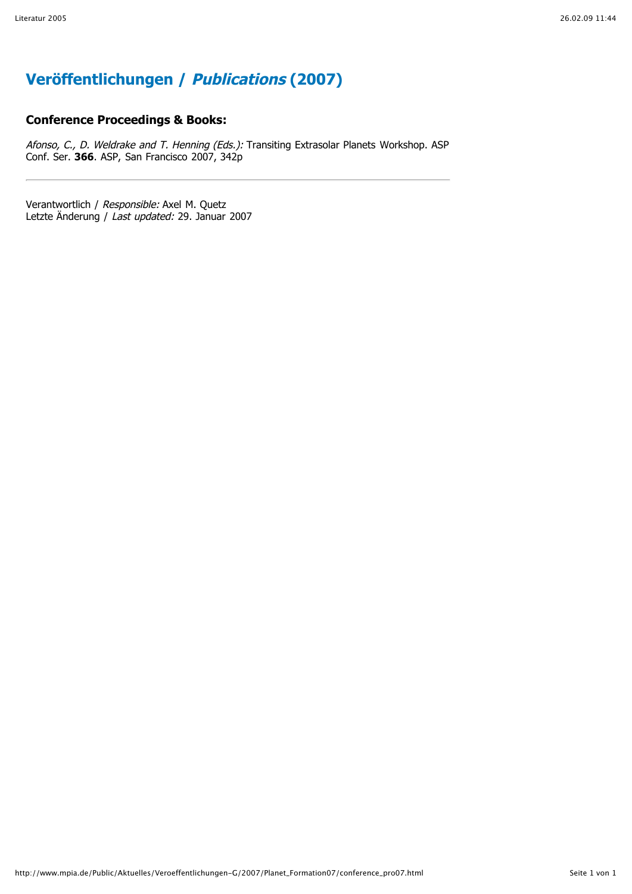# **Veröffentlichungen / Publications (2007)**

#### **Conference Proceedings & Books:**

Afonso, C., D. Weldrake and T. Henning (Eds.): Transiting Extrasolar Planets Workshop. ASP Conf. Ser. **366**. ASP, San Francisco 2007, 342p